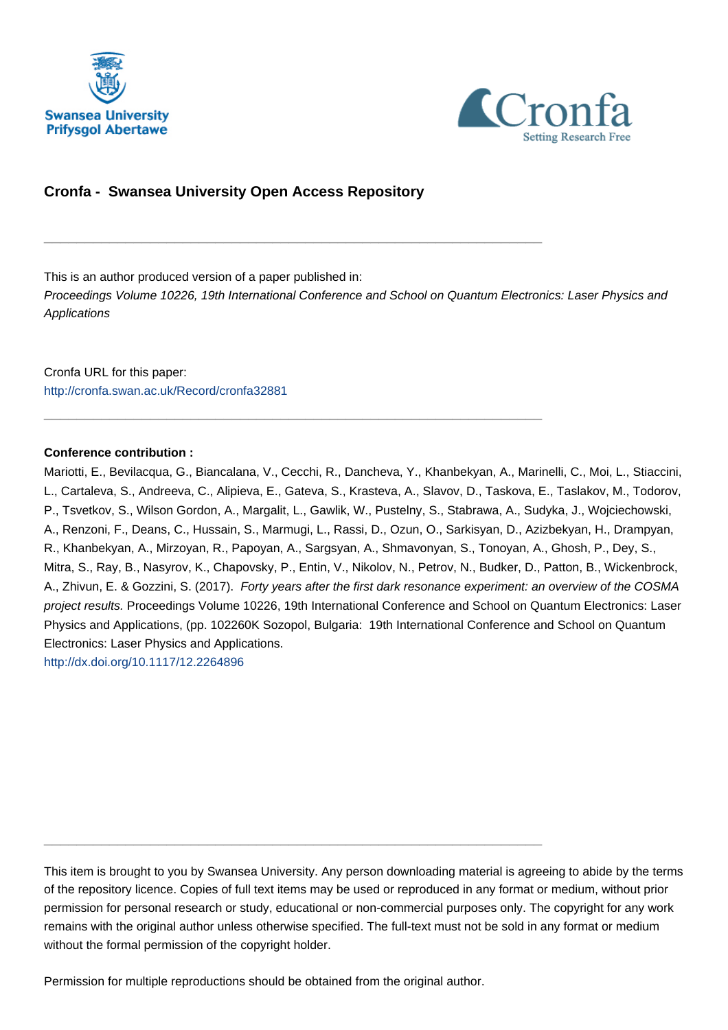



# **Cronfa - Swansea University Open Access Repository**

\_\_\_\_\_\_\_\_\_\_\_\_\_\_\_\_\_\_\_\_\_\_\_\_\_\_\_\_\_\_\_\_\_\_\_\_\_\_\_\_\_\_\_\_\_\_\_\_\_\_\_\_\_\_\_\_\_\_\_\_\_

\_\_\_\_\_\_\_\_\_\_\_\_\_\_\_\_\_\_\_\_\_\_\_\_\_\_\_\_\_\_\_\_\_\_\_\_\_\_\_\_\_\_\_\_\_\_\_\_\_\_\_\_\_\_\_\_\_\_\_\_\_

This is an author produced version of a paper published in:

Proceedings Volume 10226, 19th International Conference and School on Quantum Electronics: Laser Physics and **Applications** 

Cronfa URL for this paper: <http://cronfa.swan.ac.uk/Record/cronfa32881>

# **Conference contribution :**

Mariotti, E., Bevilacqua, G., Biancalana, V., Cecchi, R., Dancheva, Y., Khanbekyan, A., Marinelli, C., Moi, L., Stiaccini, L., Cartaleva, S., Andreeva, C., Alipieva, E., Gateva, S., Krasteva, A., Slavov, D., Taskova, E., Taslakov, M., Todorov, P., Tsvetkov, S., Wilson Gordon, A., Margalit, L., Gawlik, W., Pustelny, S., Stabrawa, A., Sudyka, J., Wojciechowski, A., Renzoni, F., Deans, C., Hussain, S., Marmugi, L., Rassi, D., Ozun, O., Sarkisyan, D., Azizbekyan, H., Drampyan, R., Khanbekyan, A., Mirzoyan, R., Papoyan, A., Sargsyan, A., Shmavonyan, S., Tonoyan, A., Ghosh, P., Dey, S., Mitra, S., Ray, B., Nasyrov, K., Chapovsky, P., Entin, V., Nikolov, N., Petrov, N., Budker, D., Patton, B., Wickenbrock, A., Zhivun, E. & Gozzini, S. (2017). Forty years after the first dark resonance experiment: an overview of the COSMA project results. Proceedings Volume 10226, 19th International Conference and School on Quantum Electronics: Laser Physics and Applications, (pp. 102260K Sozopol, Bulgaria: 19th International Conference and School on Quantum Electronics: Laser Physics and Applications.

<http://dx.doi.org/10.1117/12.2264896>

This item is brought to you by Swansea University. Any person downloading material is agreeing to abide by the terms of the repository licence. Copies of full text items may be used or reproduced in any format or medium, without prior permission for personal research or study, educational or non-commercial purposes only. The copyright for any work remains with the original author unless otherwise specified. The full-text must not be sold in any format or medium without the formal permission of the copyright holder.

Permission for multiple reproductions should be obtained from the original author.

\_\_\_\_\_\_\_\_\_\_\_\_\_\_\_\_\_\_\_\_\_\_\_\_\_\_\_\_\_\_\_\_\_\_\_\_\_\_\_\_\_\_\_\_\_\_\_\_\_\_\_\_\_\_\_\_\_\_\_\_\_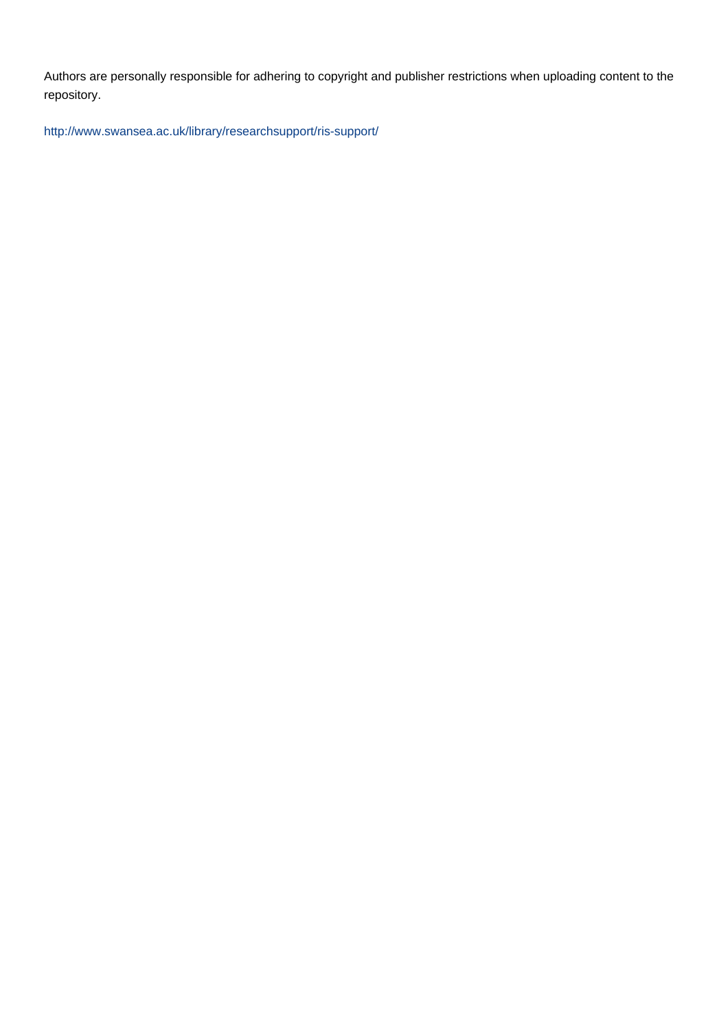Authors are personally responsible for adhering to copyright and publisher restrictions when uploading content to the repository.

[http://www.swansea.ac.uk/library/researchsupport/ris-support/](http://www.swansea.ac.uk/library/researchsupport/ris-support/ )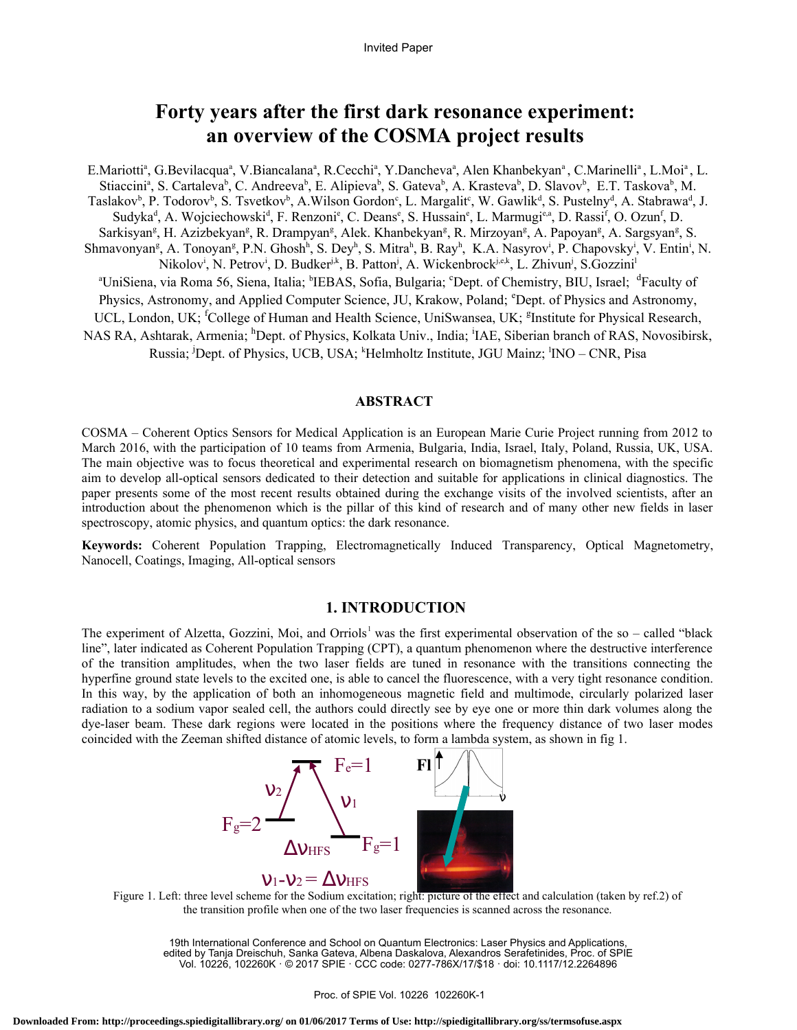# **Forty years after the first dark resonance experiment: an overview of the COSMA project results**

E.Mariotti<sup>a</sup>, G.Bevilacqua<sup>a</sup>, V.Biancalana<sup>a</sup>, R.Cecchi<sup>a</sup>, Y.Dancheva<sup>a</sup>, Alen Khanbekyan<sup>a</sup>, C.Marinelli<sup>a</sup>, L.Moi<sup>a</sup>, L. Stiaccini<sup>a</sup>, S. Cartaleva<sup>b</sup>, C. Andreeva<sup>b</sup>, E. Alipieva<sup>b</sup>, S. Gateva<sup>b</sup>, A. Krasteva<sup>b</sup>, D. Slavov<sup>b</sup>, E.T. Taskova<sup>b</sup>, M. Taslakov<sup>b</sup>, P. Todorov<sup>b</sup>, S. Tsvetkov<sup>b</sup>, A.Wilson Gordon<sup>c</sup>, L. Margalit<sup>c</sup>, W. Gawlik<sup>d</sup>, S. Pustelny<sup>d</sup>, A. Stabrawa<sup>d</sup>, J. Sudyka<sup>d</sup>, A. Wojciechowski<sup>d</sup>, F. Renzoni<sup>e</sup>, C. Deans<sup>e</sup>, S. Hussain<sup>e</sup>, L. Marmugi<sup>e,a</sup>, D. Rassi<sup>f</sup>, O. Ozun<sup>f</sup>, D. Sarkisyan<sup>g</sup>, H. Azizbekyan<sup>g</sup>, R. Drampyan<sup>g</sup>, Alek. Khanbekyan<sup>g</sup>, R. Mirzoyan<sup>g</sup>, A. Papoyan<sup>g</sup>, A. Sargsyan<sup>g</sup>, S. Shmavonyan<sup>g</sup>, A. Tonoyan<sup>g</sup>, P.N. Ghosh<sup>h</sup>, S. Dey<sup>h</sup>, S. Mitra<sup>h</sup>, B. Ray<sup>h</sup>, K.A. Nasyrov<sup>i</sup>, P. Chapovsky<sup>i</sup>, V. Entin<sup>i</sup>, N. Nikolov<sup>i</sup>, N. Petrov<sup>i</sup>, D. Budker<sup>jk</sup>, B. Patton<sup>j</sup>, A. Wickenbrock<sup>j,e,k</sup>, L. Zhivun<sup>j</sup>, S.Gozzini<sup>l</sup> <sup>a</sup>UniSiena, via Roma 56, Siena, Italia; <sup>b</sup>IEBAS, Sofia, Bulgaria; °Dept. of Chemistry, BIU, Israel; <sup>d</sup>Faculty of Physics, Astronomy, and Applied Computer Science, JU, Krakow, Poland; <sup>e</sup>Dept. of Physics and Astronomy, UCL, London, UK; <sup>f</sup>College of Human and Health Science, UniSwansea, UK; <sup>g</sup>Institute for Physical Research, NAS RA, Ashtarak, Armenia; <sup>h</sup>Dept. of Physics, Kolkata Univ., India; <sup>i</sup>IAE, Siberian branch of RAS, Novosibirsk, Russia; <sup>j</sup>Dept. of Physics, UCB, USA; <sup>k</sup>Helmholtz Institute, JGU Mainz; <sup>1</sup>INO – CNR, Pisa

## **ABSTRACT**

COSMA – Coherent Optics Sensors for Medical Application is an European Marie Curie Project running from 2012 to March 2016, with the participation of 10 teams from Armenia, Bulgaria, India, Israel, Italy, Poland, Russia, UK, USA. The main objective was to focus theoretical and experimental research on biomagnetism phenomena, with the specific aim to develop all-optical sensors dedicated to their detection and suitable for applications in clinical diagnostics. The paper presents some of the most recent results obtained during the exchange visits of the involved scientists, after an introduction about the phenomenon which is the pillar of this kind of research and of many other new fields in laser spectroscopy, atomic physics, and quantum optics: the dark resonance.

**Keywords:** Coherent Population Trapping, Electromagnetically Induced Transparency, Optical Magnetometry, Nanocell, Coatings, Imaging, All-optical sensors

# **1. INTRODUCTION**

The experiment of Alzetta, Gozzini, Moi, and Orriols<sup>1</sup> was the first experimental observation of the so – called "black" line", later indicated as Coherent Population Trapping (CPT), a quantum phenomenon where the destructive interference of the transition amplitudes, when the two laser fields are tuned in resonance with the transitions connecting the hyperfine ground state levels to the excited one, is able to cancel the fluorescence, with a very tight resonance condition. In this way, by the application of both an inhomogeneous magnetic field and multimode, circularly polarized laser radiation to a sodium vapor sealed cell, the authors could directly see by eye one or more thin dark volumes along the dye-laser beam. These dark regions were located in the positions where the frequency distance of two laser modes coincided with the Zeeman shifted distance of atomic levels, to form a lambda system, as shown in fig 1.



Figure 1. Left: three level scheme for the Sodium excitation; right: picture of the effect and calculation (taken by ref.2) of the transition profile when one of the two laser frequencies is scanned across the resonance.

19th International Conference and School on Quantum Electronics: Laser Physics and Applications, edited by Tanja Dreischuh, Sanka Gateva, Albena Daskalova, Alexandros Serafetinides, Proc. of SPIE Vol. 10226, 102260K · © 2017 SPIE · CCC code: 0277-786X/17/\$18 · doi: 10.1117/12.2264896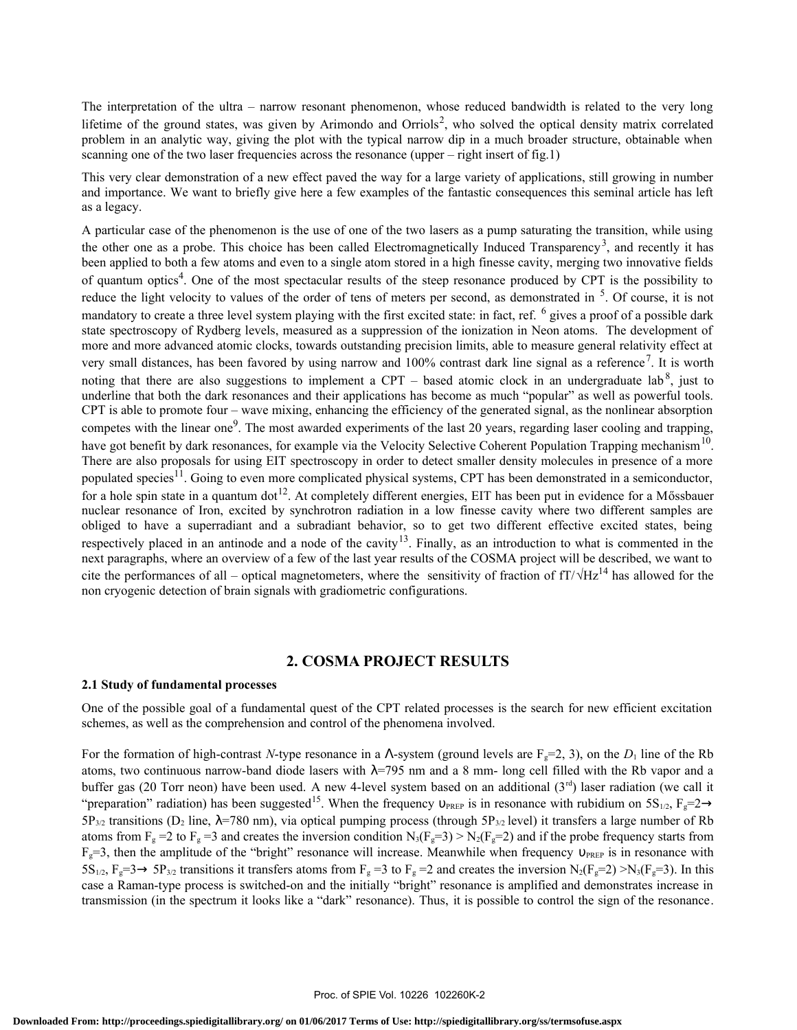The interpretation of the ultra – narrow resonant phenomenon, whose reduced bandwidth is related to the very long lifetime of the ground states, was given by Arimondo and Orriols<sup>2</sup>, who solved the optical density matrix correlated problem in an analytic way, giving the plot with the typical narrow dip in a much broader structure, obtainable when scanning one of the two laser frequencies across the resonance (upper – right insert of fig.1)

This very clear demonstration of a new effect paved the way for a large variety of applications, still growing in number and importance. We want to briefly give here a few examples of the fantastic consequences this seminal article has left as a legacy.

A particular case of the phenomenon is the use of one of the two lasers as a pump saturating the transition, while using the other one as a probe. This choice has been called Electromagnetically Induced Transparency<sup>3</sup>, and recently it has been applied to both a few atoms and even to a single atom stored in a high finesse cavity, merging two innovative fields of quantum optics<sup>4</sup>. One of the most spectacular results of the steep resonance produced by CPT is the possibility to reduce the light velocity to values of the order of tens of meters per second, as demonstrated in <sup>5</sup>. Of course, it is not mandatory to create a three level system playing with the first excited state: in fact, ref. <sup>6</sup> gives a proof of a possible dark state spectroscopy of Rydberg levels, measured as a suppression of the ionization in Neon atoms. The development of more and more advanced atomic clocks, towards outstanding precision limits, able to measure general relativity effect at very small distances, has been favored by using narrow and 100% contrast dark line signal as a reference<sup>7</sup>. It is worth noting that there are also suggestions to implement a CPT – based atomic clock in an undergraduate lab<sup>8</sup>, just to underline that both the dark resonances and their applications has become as much "popular" as well as powerful tools. CPT is able to promote four – wave mixing, enhancing the efficiency of the generated signal, as the nonlinear absorption competes with the linear one<sup>9</sup>. The most awarded experiments of the last 20 years, regarding laser cooling and trapping, have got benefit by dark resonances, for example via the Velocity Selective Coherent Population Trapping mechanism<sup>10</sup>. There are also proposals for using EIT spectroscopy in order to detect smaller density molecules in presence of a more populated species<sup>11</sup>. Going to even more complicated physical systems, CPT has been demonstrated in a semiconductor, for a hole spin state in a quantum dot<sup>12</sup>. At completely different energies, EIT has been put in evidence for a Mőssbauer nuclear resonance of Iron, excited by synchrotron radiation in a low finesse cavity where two different samples are obliged to have a superradiant and a subradiant behavior, so to get two different effective excited states, being respectively placed in an antinode and a node of the cavity<sup>13</sup>. Finally, as an introduction to what is commented in the next paragraphs, where an overview of a few of the last year results of the COSMA project will be described, we want to cite the performances of all – optical magnetometers, where the sensitivity of fraction of  $fT/\sqrt{Hz^{14}}$  has allowed for the non cryogenic detection of brain signals with gradiometric configurations.

# **2. COSMA PROJECT RESULTS**

#### **2.1 Study of fundamental processes**

One of the possible goal of a fundamental quest of the CPT related processes is the search for new efficient excitation schemes, as well as the comprehension and control of the phenomena involved.

For the formation of high-contrast *N*-type resonance in a  $\Lambda$ -system (ground levels are  $F_g=2$ , 3), on the *D*<sub>1</sub> line of the Rb atoms, two continuous narrow-band diode lasers with  $\lambda$ =795 nm and a 8 mm- long cell filled with the Rb vapor and a buffer gas (20 Torr neon) have been used. A new 4-level system based on an additional  $(3<sup>rd</sup>)$  laser radiation (we call it "preparation" radiation) has been suggested<sup>15</sup>. When the frequency  $v_{PREF}$  is in resonance with rubidium on  $5S_{1/2}$ ,  $F_s=2\rightarrow$  $5P_{3/2}$  transitions (D<sub>2</sub> line,  $\lambda$ =780 nm), via optical pumping process (through 5P<sub>3/2</sub> level) it transfers a large number of Rb atoms from  $F_g = 2$  to  $F_g = 3$  and creates the inversion condition  $N_3(F_g=3) > N_2(F_g=2)$  and if the probe frequency starts from  $F<sub>g</sub>=3$ , then the amplitude of the "bright" resonance will increase. Meanwhile when frequency  $v<sub>PREF</sub>$  is in resonance with  $5S_{1/2}$ ,  $F_g=3 \rightarrow 5P_{3/2}$  transitions it transfers atoms from  $F_g=3$  to  $F_g=2$  and creates the inversion  $N_2(F_g=2) \ge N_3(F_g=3)$ . In this case a Raman-type process is switched-on and the initially "bright" resonance is amplified and demonstrates increase in transmission (in the spectrum it looks like a "dark" resonance). Thus, it is possible to control the sign of the resonance.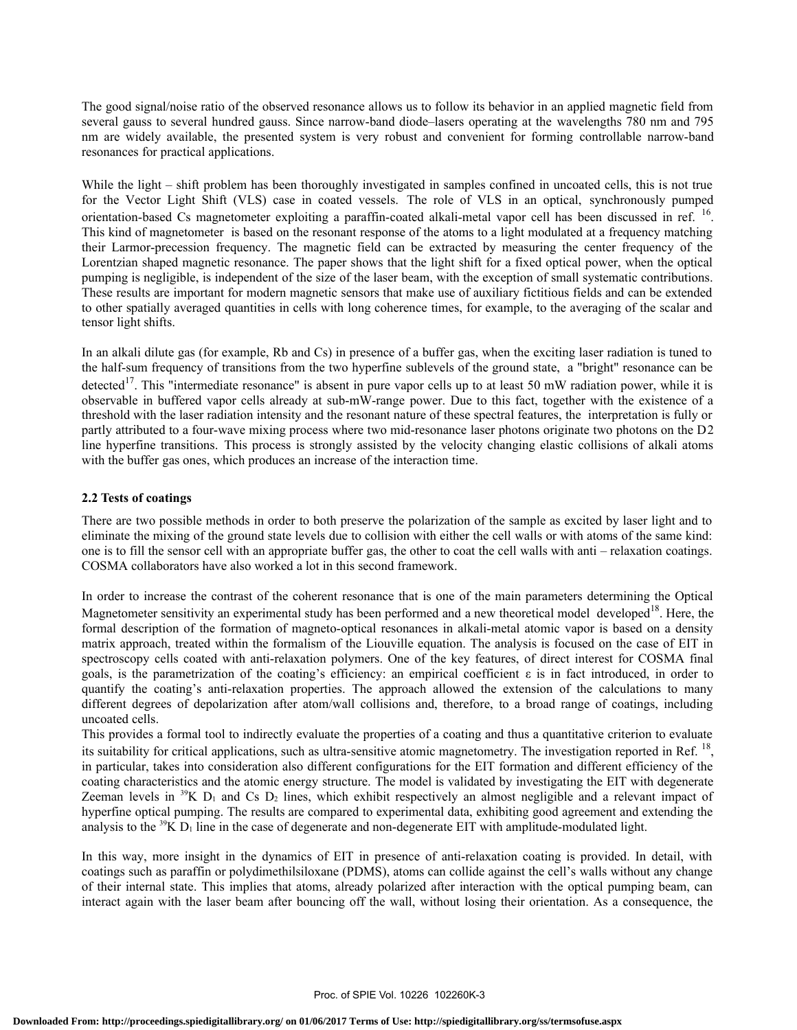The good signal/noise ratio of the observed resonance allows us to follow its behavior in an applied magnetic field from several gauss to several hundred gauss. Since narrow-band diode–lasers operating at the wavelengths 780 nm and 795 nm are widely available, the presented system is very robust and convenient for forming controllable narrow-band resonances for practical applications.

While the light – shift problem has been thoroughly investigated in samples confined in uncoated cells, this is not true for the Vector Light Shift (VLS) case in coated vessels. The role of VLS in an optical, synchronously pumped orientation-based Cs magnetometer exploiting a paraffin-coated alkali-metal vapor cell has been discussed in ref. <sup>16</sup>. This kind of magnetometer is based on the resonant response of the atoms to a light modulated at a frequency matching their Larmor-precession frequency. The magnetic field can be extracted by measuring the center frequency of the Lorentzian shaped magnetic resonance. The paper shows that the light shift for a fixed optical power, when the optical pumping is negligible, is independent of the size of the laser beam, with the exception of small systematic contributions. These results are important for modern magnetic sensors that make use of auxiliary fictitious fields and can be extended to other spatially averaged quantities in cells with long coherence times, for example, to the averaging of the scalar and tensor light shifts.

In an alkali dilute gas (for example, Rb and Cs) in presence of a buffer gas, when the exciting laser radiation is tuned to the half-sum frequency of transitions from the two hyperfine sublevels of the ground state, a "bright" resonance can be detected<sup>17</sup>. This "intermediate resonance" is absent in pure vapor cells up to at least 50 mW radiation power, while it is observable in buffered vapor cells already at sub-mW-range power. Due to this fact, together with the existence of a threshold with the laser radiation intensity and the resonant nature of these spectral features, the interpretation is fully or partly attributed to a four-wave mixing process where two mid-resonance laser photons originate two photons on the D2 line hyperfine transitions. This process is strongly assisted by the velocity changing elastic collisions of alkali atoms with the buffer gas ones, which produces an increase of the interaction time.

## **2.2 Tests of coatings**

There are two possible methods in order to both preserve the polarization of the sample as excited by laser light and to eliminate the mixing of the ground state levels due to collision with either the cell walls or with atoms of the same kind: one is to fill the sensor cell with an appropriate buffer gas, the other to coat the cell walls with anti – relaxation coatings. COSMA collaborators have also worked a lot in this second framework.

In order to increase the contrast of the coherent resonance that is one of the main parameters determining the Optical Magnetometer sensitivity an experimental study has been performed and a new theoretical model developed<sup>18</sup>. Here, the formal description of the formation of magneto-optical resonances in alkali-metal atomic vapor is based on a density matrix approach, treated within the formalism of the Liouville equation. The analysis is focused on the case of EIT in spectroscopy cells coated with anti-relaxation polymers. One of the key features, of direct interest for COSMA final goals, is the parametrization of the coating's efficiency: an empirical coefficient  $\varepsilon$  is in fact introduced, in order to quantify the coating's anti-relaxation properties. The approach allowed the extension of the calculations to many different degrees of depolarization after atom/wall collisions and, therefore, to a broad range of coatings, including uncoated cells.

This provides a formal tool to indirectly evaluate the properties of a coating and thus a quantitative criterion to evaluate its suitability for critical applications, such as ultra-sensitive atomic magnetometry. The investigation reported in Ref.<sup>18</sup>, in particular, takes into consideration also different configurations for the EIT formation and different efficiency of the coating characteristics and the atomic energy structure. The model is validated by investigating the EIT with degenerate Zeeman levels in <sup>39</sup>K D<sub>1</sub> and Cs D<sub>2</sub> lines, which exhibit respectively an almost negligible and a relevant impact of hyperfine optical pumping. The results are compared to experimental data, exhibiting good agreement and extending the analysis to the  $39K$  D<sub>1</sub> line in the case of degenerate and non-degenerate EIT with amplitude-modulated light.

In this way, more insight in the dynamics of EIT in presence of anti-relaxation coating is provided. In detail, with coatings such as paraffin or polydimethilsiloxane (PDMS), atoms can collide against the cell's walls without any change of their internal state. This implies that atoms, already polarized after interaction with the optical pumping beam, can interact again with the laser beam after bouncing off the wall, without losing their orientation. As a consequence, the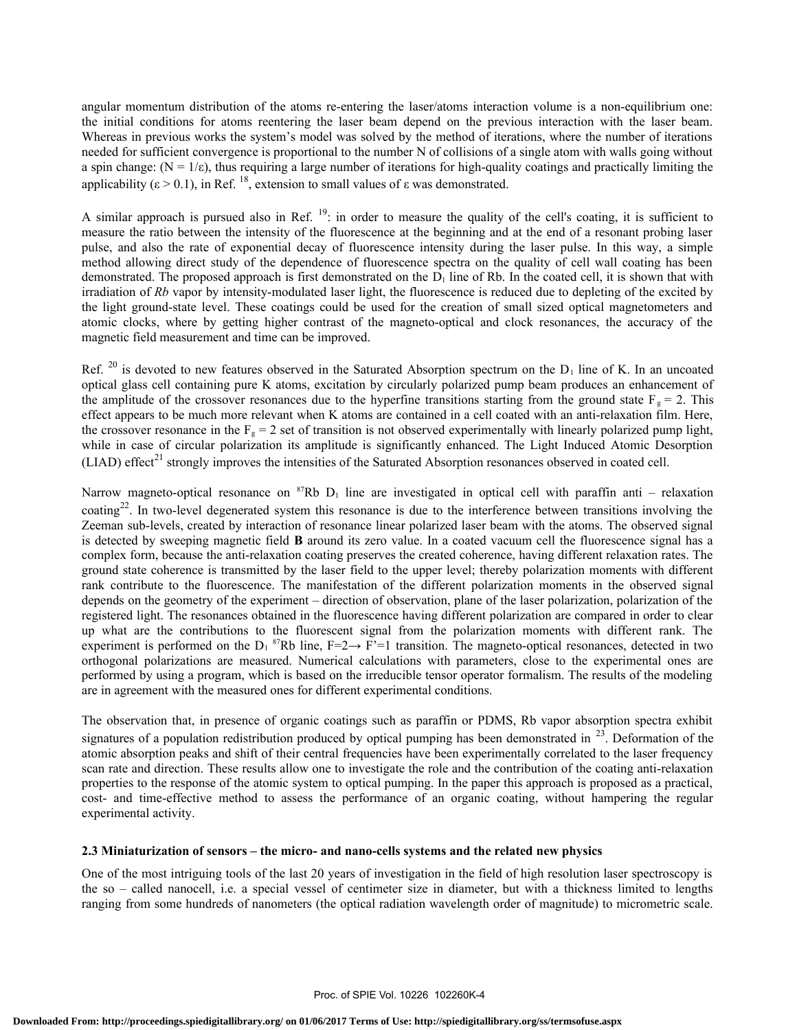angular momentum distribution of the atoms re-entering the laser/atoms interaction volume is a non-equilibrium one: the initial conditions for atoms reentering the laser beam depend on the previous interaction with the laser beam. Whereas in previous works the system's model was solved by the method of iterations, where the number of iterations needed for sufficient convergence is proportional to the number N of collisions of a single atom with walls going without a spin change:  $(N = 1/\epsilon)$ , thus requiring a large number of iterations for high-quality coatings and practically limiting the applicability ( $\varepsilon > 0.1$ ), in Ref. <sup>18</sup>, extension to small values of  $\varepsilon$  was demonstrated.

A similar approach is pursued also in Ref.  $^{19}$ : in order to measure the quality of the cell's coating, it is sufficient to measure the ratio between the intensity of the fluorescence at the beginning and at the end of a resonant probing laser pulse, and also the rate of exponential decay of fluorescence intensity during the laser pulse. In this way, a simple method allowing direct study of the dependence of fluorescence spectra on the quality of cell wall coating has been demonstrated. The proposed approach is first demonstrated on the  $D_1$  line of Rb. In the coated cell, it is shown that with irradiation of *Rb* vapor by intensity-modulated laser light, the fluorescence is reduced due to depleting of the excited by the light ground-state level. These coatings could be used for the creation of small sized optical magnetometers and atomic clocks, where by getting higher contrast of the magneto-optical and clock resonances, the accuracy of the magnetic field measurement and time can be improved.

Ref.  $^{20}$  is devoted to new features observed in the Saturated Absorption spectrum on the D<sub>1</sub> line of K. In an uncoated optical glass cell containing pure K atoms, excitation by circularly polarized pump beam produces an enhancement of the amplitude of the crossover resonances due to the hyperfine transitions starting from the ground state  $F_g = 2$ . This effect appears to be much more relevant when K atoms are contained in a cell coated with an anti-relaxation film. Here, the crossover resonance in the  $F_g = 2$  set of transition is not observed experimentally with linearly polarized pump light, while in case of circular polarization its amplitude is significantly enhanced. The Light Induced Atomic Desorption  $(LIAD)$  effect<sup>21</sup> strongly improves the intensities of the Saturated Absorption resonances observed in coated cell.

Narrow magneto-optical resonance on  ${}^{87}Rb$  D<sub>1</sub> line are investigated in optical cell with paraffin anti – relaxation coating<sup>22</sup>. In two-level degenerated system this resonance is due to the interference between transitions involving the Zeeman sub-levels, created by interaction of resonance linear polarized laser beam with the atoms. The observed signal is detected by sweeping magnetic field **B** around its zero value. In a coated vacuum cell the fluorescence signal has a complex form, because the anti-relaxation coating preserves the created coherence, having different relaxation rates. The ground state coherence is transmitted by the laser field to the upper level; thereby polarization moments with different rank contribute to the fluorescence. The manifestation of the different polarization moments in the observed signal depends on the geometry of the experiment – direction of observation, plane of the laser polarization, polarization of the registered light. The resonances obtained in the fluorescence having different polarization are compared in order to clear up what are the contributions to the fluorescent signal from the polarization moments with different rank. The experiment is performed on the  $D_1$ <sup>87</sup>Rb line, F=2→ F<sup>2</sup>=1 transition. The magneto-optical resonances, detected in two orthogonal polarizations are measured. Numerical calculations with parameters, close to the experimental ones are performed by using a program, which is based on the irreducible tensor operator formalism. The results of the modeling are in agreement with the measured ones for different experimental conditions.

The observation that, in presence of organic coatings such as paraffin or PDMS, Rb vapor absorption spectra exhibit signatures of a population redistribution produced by optical pumping has been demonstrated in  $^{23}$ . Deformation of the atomic absorption peaks and shift of their central frequencies have been experimentally correlated to the laser frequency scan rate and direction. These results allow one to investigate the role and the contribution of the coating anti-relaxation properties to the response of the atomic system to optical pumping. In the paper this approach is proposed as a practical, cost- and time-effective method to assess the performance of an organic coating, without hampering the regular experimental activity.

# **2.3 Miniaturization of sensors – the micro- and nano-cells systems and the related new physics**

One of the most intriguing tools of the last 20 years of investigation in the field of high resolution laser spectroscopy is the so – called nanocell, i.e. a special vessel of centimeter size in diameter, but with a thickness limited to lengths ranging from some hundreds of nanometers (the optical radiation wavelength order of magnitude) to micrometric scale.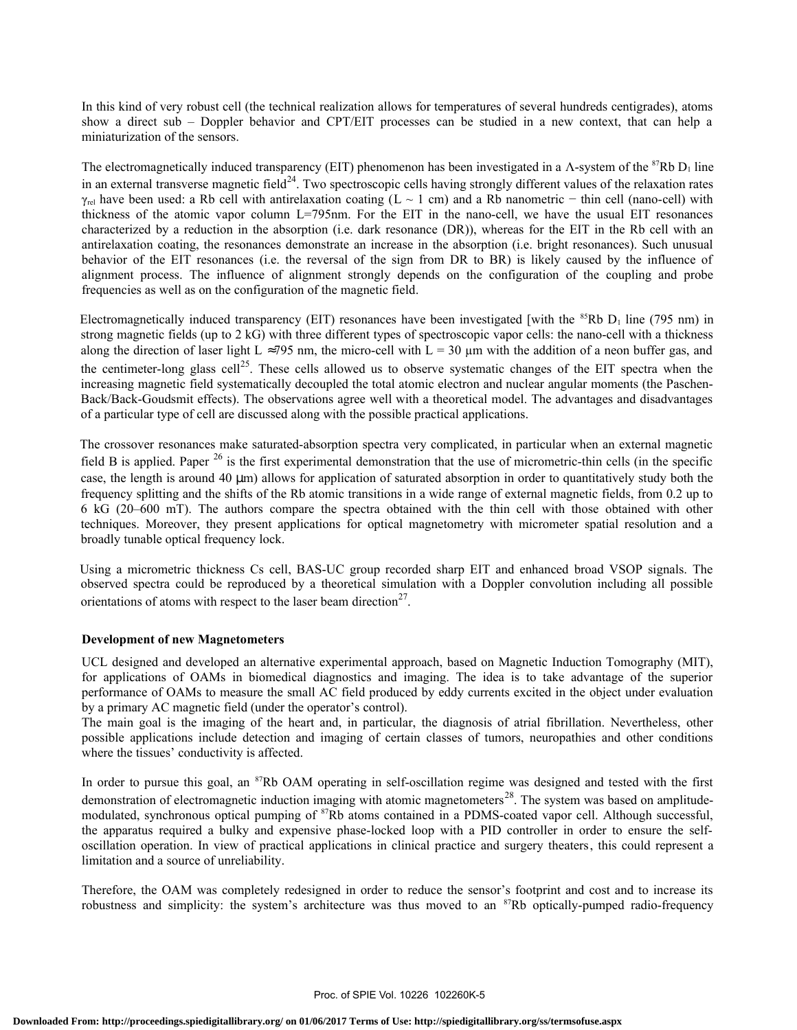In this kind of very robust cell (the technical realization allows for temperatures of several hundreds centigrades), atoms show a direct sub – Doppler behavior and CPT/EIT processes can be studied in a new context, that can help a miniaturization of the sensors.

The electromagnetically induced transparency (EIT) phenomenon has been investigated in a  $\Lambda$ -system of the <sup>87</sup>Rb D<sub>1</sub> line in an external transverse magnetic field<sup>24</sup>. Two spectroscopic cells having strongly different values of the relaxation rates  $γ_{rel}$  have been used: a Rb cell with antirelaxation coating (L ~ 1 cm) and a Rb nanometric – thin cell (nano-cell) with thickness of the atomic vapor column L=795nm. For the EIT in the nano-cell, we have the usual EIT resonances characterized by a reduction in the absorption (i.e. dark resonance (DR)), whereas for the EIT in the Rb cell with an antirelaxation coating, the resonances demonstrate an increase in the absorption (i.e. bright resonances). Such unusual behavior of the EIT resonances (i.e. the reversal of the sign from DR to BR) is likely caused by the influence of alignment process. The influence of alignment strongly depends on the configuration of the coupling and probe frequencies as well as on the configuration of the magnetic field.

Electromagnetically induced transparency (EIT) resonances have been investigated [with the  $85Rb$  D<sub>1</sub> line (795 nm) in strong magnetic fields (up to 2 kG) with three different types of spectroscopic vapor cells: the nano-cell with a thickness along the direction of laser light L ≈795 nm, the micro-cell with L = 30  $\mu$ m with the addition of a neon buffer gas, and the centimeter-long glass cell<sup>25</sup>. These cells allowed us to observe systematic changes of the EIT spectra when the increasing magnetic field systematically decoupled the total atomic electron and nuclear angular moments (the Paschen-Back/Back-Goudsmit effects). The observations agree well with a theoretical model. The advantages and disadvantages of a particular type of cell are discussed along with the possible practical applications.

The crossover resonances make saturated-absorption spectra very complicated, in particular when an external magnetic field B is applied. Paper  $^{26}$  is the first experimental demonstration that the use of micrometric-thin cells (in the specific case, the length is around 40 µm) allows for application of saturated absorption in order to quantitatively study both the frequency splitting and the shifts of the Rb atomic transitions in a wide range of external magnetic fields, from 0.2 up to 6 kG (20–600 mT). The authors compare the spectra obtained with the thin cell with those obtained with other techniques. Moreover, they present applications for optical magnetometry with micrometer spatial resolution and a broadly tunable optical frequency lock.

Using a micrometric thickness Cs cell, BAS-UC group recorded sharp EIT and enhanced broad VSOP signals. The observed spectra could be reproduced by a theoretical simulation with a Doppler convolution including all possible orientations of atoms with respect to the laser beam direction<sup>27</sup>.

#### **Development of new Magnetometers**

UCL designed and developed an alternative experimental approach, based on Magnetic Induction Tomography (MIT), for applications of OAMs in biomedical diagnostics and imaging. The idea is to take advantage of the superior performance of OAMs to measure the small AC field produced by eddy currents excited in the object under evaluation by a primary AC magnetic field (under the operator's control).

The main goal is the imaging of the heart and, in particular, the diagnosis of atrial fibrillation. Nevertheless, other possible applications include detection and imaging of certain classes of tumors, neuropathies and other conditions where the tissues' conductivity is affected.

In order to pursue this goal, an  ${}^{87}$ Rb OAM operating in self-oscillation regime was designed and tested with the first demonstration of electromagnetic induction imaging with atomic magnetometers<sup>28</sup>. The system was based on amplitudemodulated, synchronous optical pumping of <sup>87</sup>Rb atoms contained in a PDMS-coated vapor cell. Although successful, the apparatus required a bulky and expensive phase-locked loop with a PID controller in order to ensure the selfoscillation operation. In view of practical applications in clinical practice and surgery theaters, this could represent a limitation and a source of unreliability.

Therefore, the OAM was completely redesigned in order to reduce the sensor's footprint and cost and to increase its robustness and simplicity: the system's architecture was thus moved to an <sup>87</sup>Rb optically-pumped radio-frequency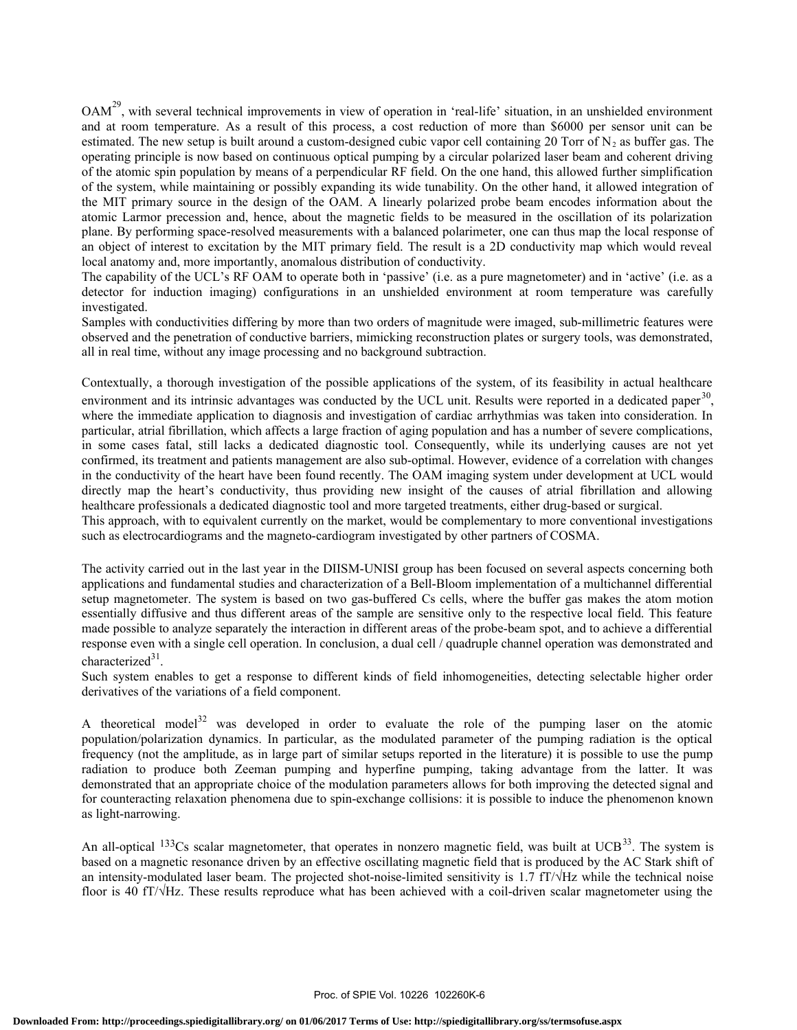OAM<sup>29</sup>, with several technical improvements in view of operation in 'real-life' situation, in an unshielded environment and at room temperature. As a result of this process, a cost reduction of more than \$6000 per sensor unit can be estimated. The new setup is built around a custom-designed cubic vapor cell containing 20 Torr of  $N_2$  as buffer gas. The operating principle is now based on continuous optical pumping by a circular polarized laser beam and coherent driving of the atomic spin population by means of a perpendicular RF field. On the one hand, this allowed further simplification of the system, while maintaining or possibly expanding its wide tunability. On the other hand, it allowed integration of the MIT primary source in the design of the OAM. A linearly polarized probe beam encodes information about the atomic Larmor precession and, hence, about the magnetic fields to be measured in the oscillation of its polarization plane. By performing space-resolved measurements with a balanced polarimeter, one can thus map the local response of an object of interest to excitation by the MIT primary field. The result is a 2D conductivity map which would reveal local anatomy and, more importantly, anomalous distribution of conductivity.

The capability of the UCL's RF OAM to operate both in 'passive' (i.e. as a pure magnetometer) and in 'active' (i.e. as a detector for induction imaging) configurations in an unshielded environment at room temperature was carefully investigated.

Samples with conductivities differing by more than two orders of magnitude were imaged, sub-millimetric features were observed and the penetration of conductive barriers, mimicking reconstruction plates or surgery tools, was demonstrated, all in real time, without any image processing and no background subtraction.

Contextually, a thorough investigation of the possible applications of the system, of its feasibility in actual healthcare environment and its intrinsic advantages was conducted by the UCL unit. Results were reported in a dedicated paper<sup>30</sup>, where the immediate application to diagnosis and investigation of cardiac arrhythmias was taken into consideration. In particular, atrial fibrillation, which affects a large fraction of aging population and has a number of severe complications, in some cases fatal, still lacks a dedicated diagnostic tool. Consequently, while its underlying causes are not yet confirmed, its treatment and patients management are also sub-optimal. However, evidence of a correlation with changes in the conductivity of the heart have been found recently. The OAM imaging system under development at UCL would directly map the heart's conductivity, thus providing new insight of the causes of atrial fibrillation and allowing healthcare professionals a dedicated diagnostic tool and more targeted treatments, either drug-based or surgical.

This approach, with to equivalent currently on the market, would be complementary to more conventional investigations such as electrocardiograms and the magneto-cardiogram investigated by other partners of COSMA.

The activity carried out in the last year in the DIISM-UNISI group has been focused on several aspects concerning both applications and fundamental studies and characterization of a Bell-Bloom implementation of a multichannel differential setup magnetometer. The system is based on two gas-buffered Cs cells, where the buffer gas makes the atom motion essentially diffusive and thus different areas of the sample are sensitive only to the respective local field. This feature made possible to analyze separately the interaction in different areas of the probe-beam spot, and to achieve a differential response even with a single cell operation. In conclusion, a dual cell / quadruple channel operation was demonstrated and characterized<sup>31</sup>.

Such system enables to get a response to different kinds of field inhomogeneities, detecting selectable higher order derivatives of the variations of a field component.

A theoretical model<sup>32</sup> was developed in order to evaluate the role of the pumping laser on the atomic population/polarization dynamics. In particular, as the modulated parameter of the pumping radiation is the optical frequency (not the amplitude, as in large part of similar setups reported in the literature) it is possible to use the pump radiation to produce both Zeeman pumping and hyperfine pumping, taking advantage from the latter. It was demonstrated that an appropriate choice of the modulation parameters allows for both improving the detected signal and for counteracting relaxation phenomena due to spin-exchange collisions: it is possible to induce the phenomenon known as light-narrowing.

An all-optical  $133Cs$  scalar magnetometer, that operates in nonzero magnetic field, was built at UCB<sup>33</sup>. The system is based on a magnetic resonance driven by an effective oscillating magnetic field that is produced by the AC Stark shift of an intensity-modulated laser beam. The projected shot-noise-limited sensitivity is 1.7  $fT/\sqrt{Hz}$  while the technical noise floor is 40 fT/√Hz. These results reproduce what has been achieved with a coil-driven scalar magnetometer using the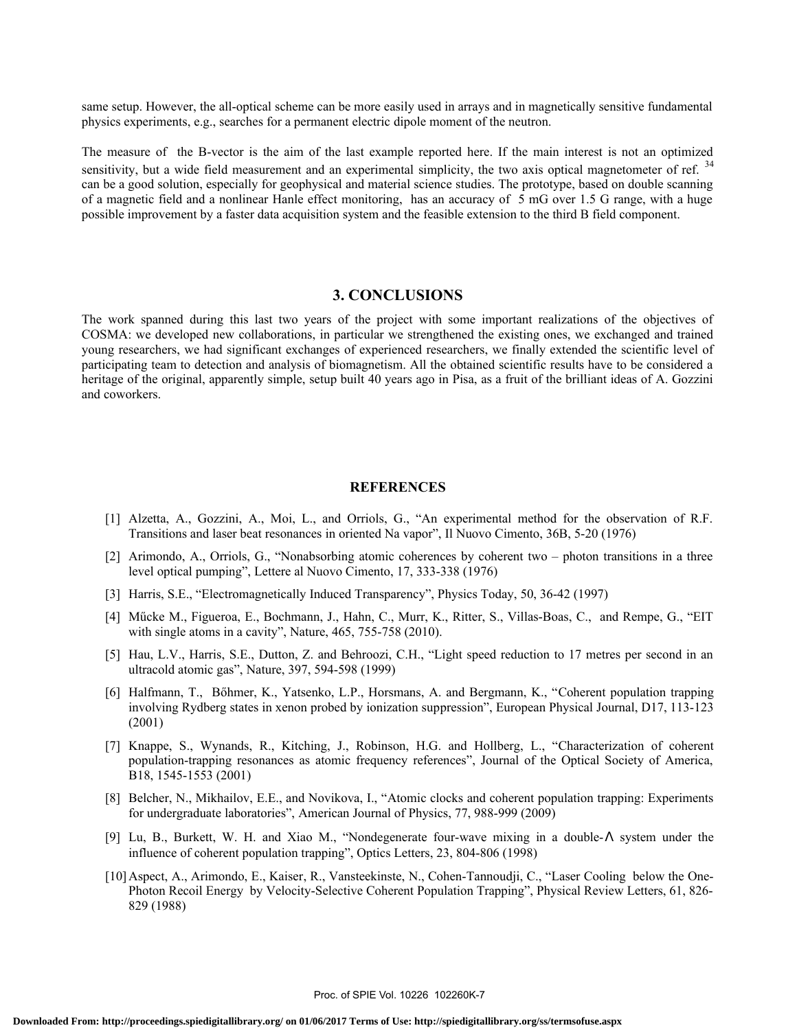same setup. However, the all-optical scheme can be more easily used in arrays and in magnetically sensitive fundamental physics experiments, e.g., searches for a permanent electric dipole moment of the neutron.

The measure of the B-vector is the aim of the last example reported here. If the main interest is not an optimized sensitivity, but a wide field measurement and an experimental simplicity, the two axis optical magnetometer of ref. <sup>34</sup> can be a good solution, especially for geophysical and material science studies. The prototype, based on double scanning of a magnetic field and a nonlinear Hanle effect monitoring, has an accuracy of 5 mG over 1.5 G range, with a huge possible improvement by a faster data acquisition system and the feasible extension to the third B field component.

# **3. CONCLUSIONS**

The work spanned during this last two years of the project with some important realizations of the objectives of COSMA: we developed new collaborations, in particular we strengthened the existing ones, we exchanged and trained young researchers, we had significant exchanges of experienced researchers, we finally extended the scientific level of participating team to detection and analysis of biomagnetism. All the obtained scientific results have to be considered a heritage of the original, apparently simple, setup built 40 years ago in Pisa, as a fruit of the brilliant ideas of A. Gozzini and coworkers.

#### **REFERENCES**

- [1] Alzetta, A., Gozzini, A., Moi, L., and Orriols, G., "An experimental method for the observation of R.F. Transitions and laser beat resonances in oriented Na vapor", Il Nuovo Cimento, 36B, 5-20 (1976)
- [2] Arimondo, A., Orriols, G., "Nonabsorbing atomic coherences by coherent two photon transitions in a three level optical pumping", Lettere al Nuovo Cimento, 17, 333-338 (1976)
- [3] Harris, S.E., "Electromagnetically Induced Transparency", Physics Today, 50, 36-42 (1997)
- [4] Műcke M., Figueroa, E., Bochmann, J., Hahn, C., Murr, K., Ritter, S., Villas-Boas, C., and Rempe, G., "EIT with single atoms in a cavity", Nature, 465, 755-758 (2010).
- [5] Hau, L.V., Harris, S.E., Dutton, Z. and Behroozi, C.H., "Light speed reduction to 17 metres per second in an ultracold atomic gas", Nature, 397, 594-598 (1999)
- [6] Halfmann, T., Bőhmer, K., Yatsenko, L.P., Horsmans, A. and Bergmann, K., "Coherent population trapping involving Rydberg states in xenon probed by ionization suppression", European Physical Journal, D17, 113-123 (2001)
- [7] Knappe, S., Wynands, R., Kitching, J., Robinson, H.G. and Hollberg, L., "Characterization of coherent population-trapping resonances as atomic frequency references", Journal of the Optical Society of America, B18, 1545-1553 (2001)
- [8] Belcher, N., Mikhailov, E.E., and Novikova, I., "Atomic clocks and coherent population trapping: Experiments for undergraduate laboratories", American Journal of Physics, 77, 988-999 (2009)
- [9] Lu, B., Burkett, W. H. and Xiao M., "Nondegenerate four-wave mixing in a double-Λ system under the influence of coherent population trapping", Optics Letters, 23, 804-806 (1998)
- [10]Aspect, A., Arimondo, E., Kaiser, R., Vansteekinste, N., Cohen-Tannoudji, C., "Laser Cooling below the One-Photon Recoil Energy by Velocity-Selective Coherent Population Trapping", Physical Review Letters, 61, 826- 829 (1988)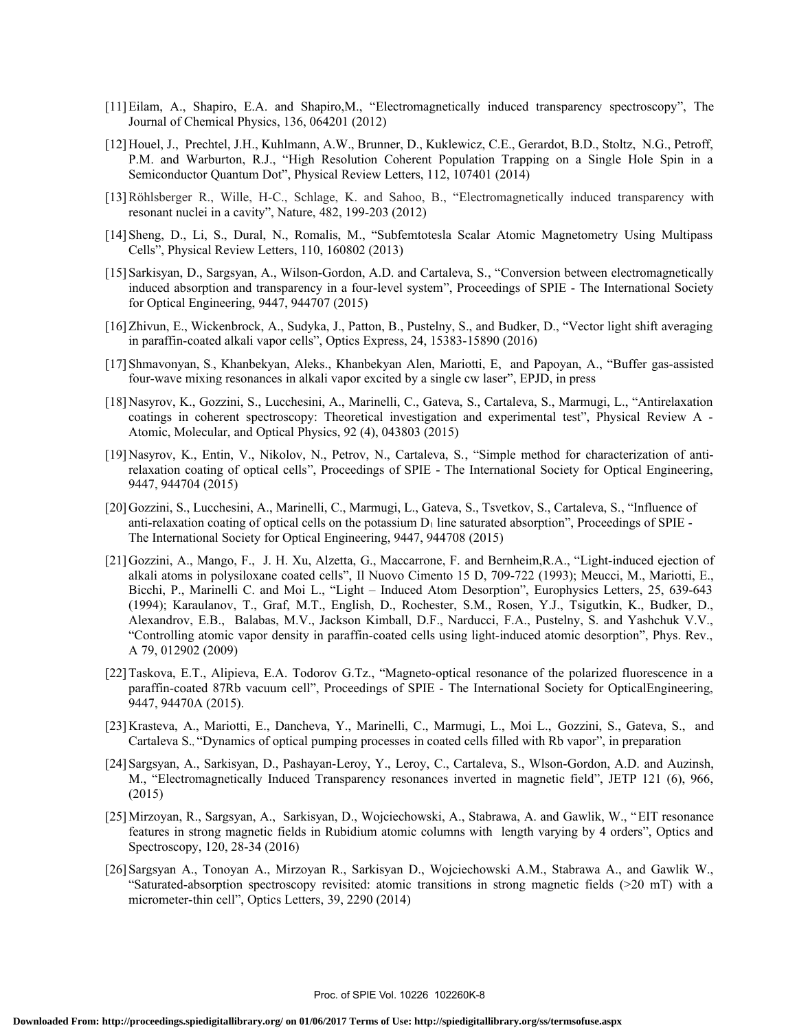- [11]Eilam, A., Shapiro, E.A. and Shapiro,M., "Electromagnetically induced transparency spectroscopy", The Journal of Chemical Physics, 136, 064201 (2012)
- [12]Houel, J., Prechtel, J.H., Kuhlmann, A.W., Brunner, D., Kuklewicz, C.E., Gerardot, B.D., Stoltz, N.G., Petroff, P.M. and Warburton, R.J., "High Resolution Coherent Population Trapping on a Single Hole Spin in a Semiconductor Quantum Dot", Physical Review Letters, 112, 107401 (2014)
- [13]Röhlsberger R., Wille, H-C., Schlage, K. and Sahoo, B., "Electromagnetically induced transparency with resonant nuclei in a cavity", Nature, 482, 199-203 (2012)
- [14]Sheng, D., Li, S., Dural, N., Romalis, M., "Subfemtotesla Scalar Atomic Magnetometry Using Multipass Cells", Physical Review Letters, 110, 160802 (2013)
- [15]Sarkisyan, D., Sargsyan, A., Wilson-Gordon, A.D. and Cartaleva, S., "Conversion between electromagnetically induced absorption and transparency in a four-level system", Proceedings of SPIE - The International Society for Optical Engineering, 9447, 944707 (2015)
- [16]Zhivun, E., Wickenbrock, A., Sudyka, J., Patton, B., Pustelny, S., and Budker, D., "Vector light shift averaging in paraffin-coated alkali vapor cells", Optics Express, 24, 15383-15890 (2016)
- [17]Shmavonyan, S., Khanbekyan, Aleks., Khanbekyan Alen, Mariotti, E, and Papoyan, A., "Buffer gas-assisted four-wave mixing resonances in alkali vapor excited by a single cw laser", EPJD, in press
- [18]Nasyrov, K., Gozzini, S., Lucchesini, A., Marinelli, C., Gateva, S., Cartaleva, S., Marmugi, L., "Antirelaxation coatings in coherent spectroscopy: Theoretical investigation and experimental test", Physical Review A - Atomic, Molecular, and Optical Physics, 92 (4), 043803 (2015)
- [19]Nasyrov, K., Entin, V., Nikolov, N., Petrov, N., Cartaleva, S., "Simple method for characterization of antirelaxation coating of optical cells", Proceedings of SPIE - The International Society for Optical Engineering, 9447, 944704 (2015)
- [20]Gozzini, S., Lucchesini, A., Marinelli, C., Marmugi, L., Gateva, S., Tsvetkov, S., Cartaleva, S., "Influence of anti-relaxation coating of optical cells on the potassium  $D_1$  line saturated absorption", Proceedings of SPIE -The International Society for Optical Engineering, 9447, 944708 (2015)
- [21]Gozzini, A., Mango, F., J. H. Xu, Alzetta, G., Maccarrone, F. and Bernheim,R.A., "Light-induced ejection of alkali atoms in polysiloxane coated cells", Il Nuovo Cimento 15 D, 709-722 (1993); Meucci, M., Mariotti, E., Bicchi, P., Marinelli C. and Moi L., "Light – Induced Atom Desorption", Europhysics Letters, 25, 639-643 (1994); Karaulanov, T., Graf, M.T., English, D., Rochester, S.M., Rosen, Y.J., Tsigutkin, K., Budker, D., Alexandrov, E.B., Balabas, M.V., Jackson Kimball, D.F., Narducci, F.A., Pustelny, S. and Yashchuk V.V., "Controlling atomic vapor density in paraffin-coated cells using light-induced atomic desorption", Phys. Rev., A 79, 012902 (2009)
- [22]Taskova, E.T., Alipieva, E.A. Todorov G.Tz., "Magneto-optical resonance of the polarized fluorescence in a paraffin-coated 87Rb vacuum cell", Proceedings of SPIE - The International Society for OpticalEngineering, 9447, 94470A (2015).
- [23]Krasteva, A., Mariotti, E., Dancheva, Y., Marinelli, C., Marmugi, L., Moi L., Gozzini, S., Gateva, S., and Cartaleva S., "Dynamics of optical pumping processes in coated cells filled with Rb vapor", in preparation
- [24]Sargsyan, A., Sarkisyan, D., Pashayan-Leroy, Y., Leroy, C., Cartaleva, S., Wlson-Gordon, A.D. and Auzinsh, M., "Electromagnetically Induced Transparency resonances inverted in magnetic field", JETP 121 (6), 966, (2015)
- [25]Mirzoyan, R., Sargsyan, A., Sarkisyan, D., Wojciechowski, A., Stabrawa, A. and Gawlik, W., "EIT resonance features in strong magnetic fields in Rubidium atomic columns with length varying by 4 orders", Optics and Spectroscopy, 120, 28-34 (2016)
- [26]Sargsyan A., Tonoyan A., Mirzoyan R., Sarkisyan D., Wojciechowski A.M., Stabrawa A., and Gawlik W., "Saturated-absorption spectroscopy revisited: atomic transitions in strong magnetic fields (>20 mT) with a micrometer-thin cell", Optics Letters, 39, 2290 (2014)